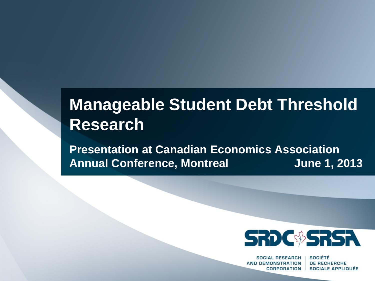# **Manageable Student Debt Threshold Research**

**Presentation at Canadian Economics Association Annual Conference, Montreal June 1, 2013**



**SOCIAL RESEARCH AND DEMONSTRATION CORPORATION** 

**SOCIÉTÉ DE RECHERCHE SOCIALE APPLIQUÉE**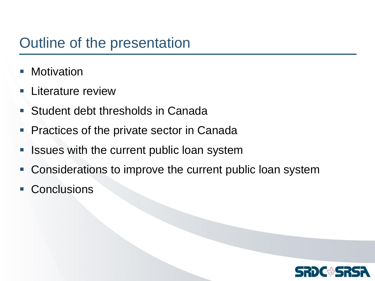## Outline of the presentation

- **Motivation**
- Literature review
- **Student debt thresholds in Canada**
- **Practices of the private sector in Canada**
- **If Issues with the current public loan system**
- Considerations to improve the current public loan system
- **Conclusions**

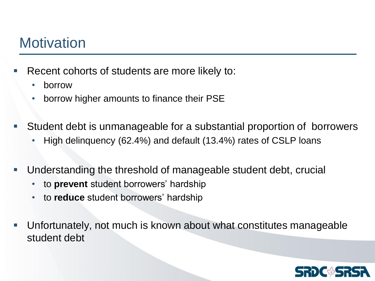## **Motivation**

- Recent cohorts of students are more likely to:
	- borrow
	- borrow higher amounts to finance their PSE
- Student debt is unmanageable for a substantial proportion of borrowers
	- High delinquency (62.4%) and default (13.4%) rates of CSLP loans
- Understanding the threshold of manageable student debt, crucial
	- to **prevent** student borrowers' hardship
	- to **reduce** student borrowers' hardship
- Unfortunately, not much is known about what constitutes manageable student debt

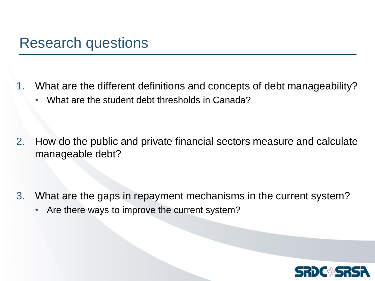- 1. What are the different definitions and concepts of debt manageability?
	- What are the student debt thresholds in Canada?

2. How do the public and private financial sectors measure and calculate manageable debt?

- 3. What are the gaps in repayment mechanisms in the current system?
	- Are there ways to improve the current system?

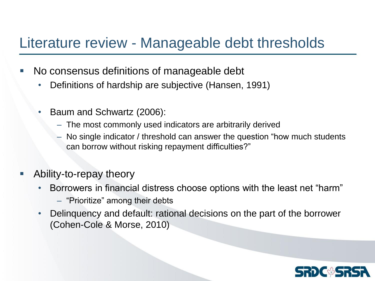#### Literature review - Manageable debt thresholds

- No consensus definitions of manageable debt
	- Definitions of hardship are subjective (Hansen, 1991)
	- Baum and Schwartz (2006):
		- The most commonly used indicators are arbitrarily derived
		- No single indicator / threshold can answer the question "how much students can borrow without risking repayment difficulties?"
- Ability-to-repay theory
	- Borrowers in financial distress choose options with the least net "harm"
		- "Prioritize" among their debts
	- Delinquency and default: rational decisions on the part of the borrower (Cohen-Cole & Morse, 2010)

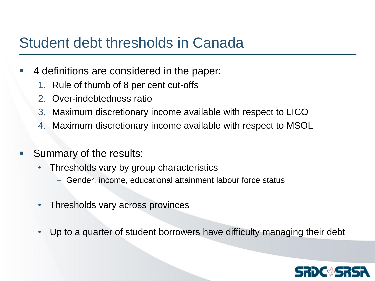### Student debt thresholds in Canada

- 4 definitions are considered in the paper:
	- 1. Rule of thumb of 8 per cent cut-offs
	- 2. Over-indebtedness ratio
	- 3. Maximum discretionary income available with respect to LICO
	- 4. Maximum discretionary income available with respect to MSOL
- Summary of the results:
	- Thresholds vary by group characteristics
		- Gender, income, educational attainment labour force status
	- Thresholds vary across provinces
	- Up to a quarter of student borrowers have difficulty managing their debt

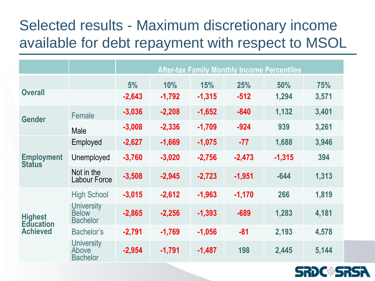# Selected results - Maximum discretionary income available for debt repayment with respect to MSOL

|                                                       |                                                      | <b>After-tax Family Monthly Income Percentiles</b> |          |          |          |          |       |  |  |
|-------------------------------------------------------|------------------------------------------------------|----------------------------------------------------|----------|----------|----------|----------|-------|--|--|
| <b>Overall</b>                                        |                                                      | 5%                                                 | 10%      | 15%      | 25%      | 50%      | 75%   |  |  |
|                                                       |                                                      | $-2,643$                                           | $-1,792$ | $-1,315$ | $-512$   | 1,294    | 3,571 |  |  |
| <b>Gender</b>                                         | Female                                               | $-3,036$                                           | $-2,208$ | $-1,652$ | $-840$   | 1,132    | 3,401 |  |  |
|                                                       | Male                                                 | $-3,008$                                           | $-2,336$ | $-1,709$ | $-924$   | 939      | 3,261 |  |  |
| <b>Employment</b><br><b>Status</b>                    | Employed                                             | $-2,627$                                           | $-1,669$ | $-1,075$ | $-77$    | 1,688    | 3,946 |  |  |
|                                                       | Unemployed                                           | $-3,760$                                           | $-3,020$ | $-2,756$ | $-2,473$ | $-1,315$ | 394   |  |  |
|                                                       | Not in the<br><b>Labour Force</b>                    | $-3,508$                                           | $-2,945$ | $-2,723$ | $-1,951$ | $-644$   | 1,313 |  |  |
|                                                       | <b>High School</b>                                   | $-3,015$                                           | $-2,612$ | $-1,963$ | $-1,170$ | 266      | 1,819 |  |  |
| <b>Highest</b><br><b>Education</b><br><b>Achieved</b> | <b>University</b><br><b>Below</b><br><b>Bachelor</b> | $-2,865$                                           | $-2,256$ | $-1,393$ | $-689$   | 1,283    | 4,181 |  |  |
|                                                       | <b>Bachelor's</b>                                    | $-2,791$                                           | $-1,769$ | $-1,056$ | $-81$    | 2,193    | 4,578 |  |  |
|                                                       | <b>University</b><br>Above<br><b>Bachelor</b>        | $-2,954$                                           | $-1,791$ | $-1,487$ | 198      | 2,445    | 5,144 |  |  |

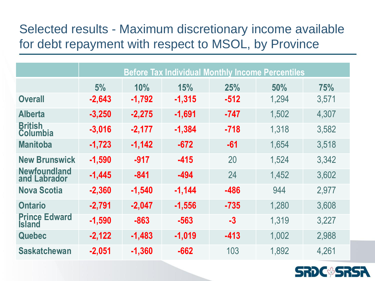#### Selected results - Maximum discretionary income available for debt repayment with respect to MSOL, by Province

|                                       | <b>Before Tax Individual Monthly Income Percentiles</b> |          |          |        |       |       |  |  |
|---------------------------------------|---------------------------------------------------------|----------|----------|--------|-------|-------|--|--|
|                                       | 5%                                                      | 10%      | 15%      | 25%    | 50%   | 75%   |  |  |
| <b>Overall</b>                        | $-2,643$                                                | $-1,792$ | $-1,315$ | $-512$ | 1,294 | 3,571 |  |  |
| <b>Alberta</b>                        | $-3,250$                                                | $-2,275$ | $-1,691$ | -747   | 1,502 | 4,307 |  |  |
| <b>British</b><br><b>Columbia</b>     | $-3,016$                                                | $-2,177$ | $-1,384$ | $-718$ | 1,318 | 3,582 |  |  |
| <b>Manitoba</b>                       | $-1,723$                                                | $-1,142$ | $-672$   | $-61$  | 1,654 | 3,518 |  |  |
| <b>New Brunswick</b>                  | $-1,590$                                                | $-917$   | $-415$   | 20     | 1,524 | 3,342 |  |  |
| <b>Newfoundland</b><br>and Labrador   | $-1,445$                                                | $-841$   | $-494$   | 24     | 1,452 | 3,602 |  |  |
| <b>Nova Scotia</b>                    | $-2,360$                                                | $-1,540$ | $-1,144$ | -486   | 944   | 2,977 |  |  |
| <b>Ontario</b>                        | $-2,791$                                                | $-2,047$ | $-1,556$ | $-735$ | 1,280 | 3,608 |  |  |
| <b>Prince Edward</b><br><b>Island</b> | $-1,590$                                                | $-863$   | $-563$   | $-3$   | 1,319 | 3,227 |  |  |
| Quebec                                | $-2,122$                                                | $-1,483$ | $-1,019$ | $-413$ | 1,002 | 2,988 |  |  |
| <b>Saskatchewan</b>                   | $-2,051$                                                | $-1,360$ | $-662$   | 103    | 1,892 | 4,261 |  |  |

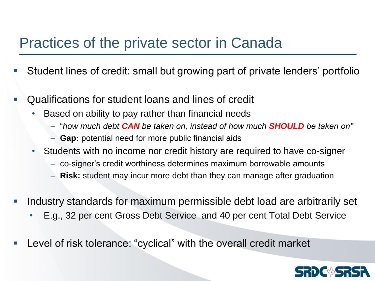#### Practices of the private sector in Canada

- Student lines of credit: small but growing part of private lenders' portfolio
- Qualifications for student loans and lines of credit
	- Based on ability to pay rather than financial needs
		- "*how much debt CAN be taken on, instead of how much SHOULD be taken on"*
		- **Gap:** potential need for more public financial aids
	- Students with no income nor credit history are required to have co-signer
		- co-signer's credit worthiness determines maximum borrowable amounts
		- **Risk:** student may incur more debt than they can manage after graduation
- Industry standards for maximum permissible debt load are arbitrarily set
	- E.g., 32 per cent Gross Debt Service and 40 per cent Total Debt Service
- Level of risk tolerance: "cyclical" with the overall credit market

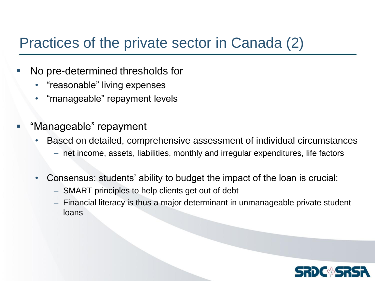## Practices of the private sector in Canada (2)

- No pre-determined thresholds for
	- "reasonable" living expenses
	- "manageable" repayment levels
- "Manageable" repayment
	- Based on detailed, comprehensive assessment of individual circumstances – net income, assets, liabilities, monthly and irregular expenditures, life factors
	- Consensus: students' ability to budget the impact of the loan is crucial:
		- SMART principles to help clients get out of debt
		- Financial literacy is thus a major determinant in unmanageable private student loans

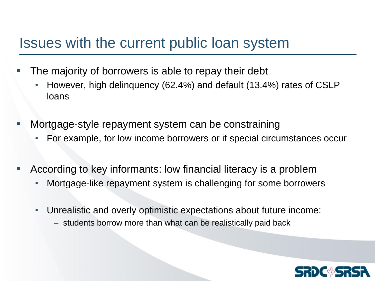#### Issues with the current public loan system

- The majority of borrowers is able to repay their debt
	- However, high delinquency (62.4%) and default (13.4%) rates of CSLP loans
- Mortgage-style repayment system can be constraining
	- For example, for low income borrowers or if special circumstances occur
- According to key informants: low financial literacy is a problem
	- Mortgage-like repayment system is challenging for some borrowers
	- Unrealistic and overly optimistic expectations about future income:
		- students borrow more than what can be realistically paid back

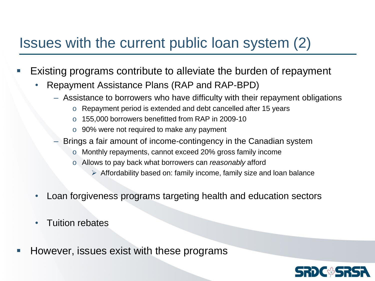## Issues with the current public loan system (2)

- Existing programs contribute to alleviate the burden of repayment
	- Repayment Assistance Plans (RAP and RAP-BPD)
		- Assistance to borrowers who have difficulty with their repayment obligations
			- o Repayment period is extended and debt cancelled after 15 years
			- o 155,000 borrowers benefitted from RAP in 2009-10
			- o 90% were not required to make any payment
		- Brings a fair amount of income-contingency in the Canadian system
			- o Monthly repayments, cannot exceed 20% gross family income
			- o Allows to pay back what borrowers can *reasonably* afford
				- $\triangleright$  Affordability based on: family income, family size and loan balance
	- Loan forgiveness programs targeting health and education sectors
	- Tuition rebates
- However, issues exist with these programs

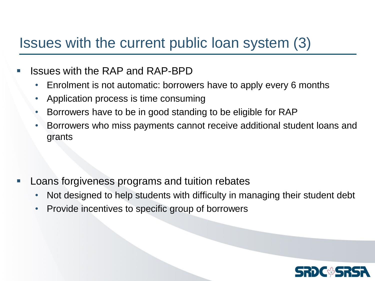## Issues with the current public loan system (3)

- Issues with the RAP and RAP-BPD
	- Enrolment is not automatic: borrowers have to apply every 6 months
	- Application process is time consuming
	- Borrowers have to be in good standing to be eligible for RAP
	- Borrowers who miss payments cannot receive additional student loans and grants

- Loans forgiveness programs and tuition rebates
	- Not designed to help students with difficulty in managing their student debt
	- Provide incentives to specific group of borrowers

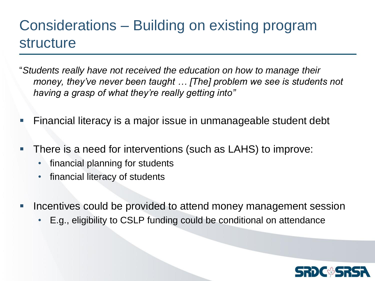## Considerations – Building on existing program structure

- "*Students really have not received the education on how to manage their money, they've never been taught … [The] problem we see is students not having a grasp of what they're really getting into"*
- Financial literacy is a major issue in unmanageable student debt
- There is a need for interventions (such as LAHS) to improve:
	- financial planning for students
	- financial literacy of students
- **If Incentives could be provided to attend money management session** 
	- E.g., eligibility to CSLP funding could be conditional on attendance

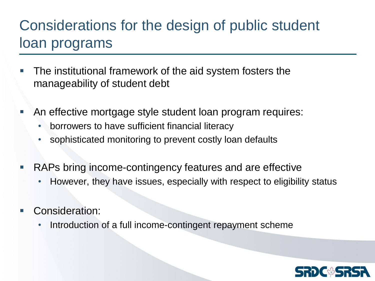# Considerations for the design of public student loan programs

- **The institutional framework of the aid system fosters the** manageability of student debt
- An effective mortgage style student loan program requires:
	- borrowers to have sufficient financial literacy
	- sophisticated monitoring to prevent costly loan defaults
- RAPs bring income-contingency features and are effective
	- However, they have issues, especially with respect to eligibility status
- Consideration:
	- Introduction of a full income-contingent repayment scheme

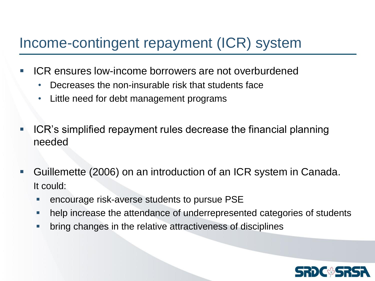## Income-contingent repayment (ICR) system

- ICR ensures low-income borrowers are not overburdened
	- Decreases the non-insurable risk that students face
	- Little need for debt management programs
- $\blacksquare$  ICR's simplified repayment rules decrease the financial planning needed
- Guillemette (2006) on an introduction of an ICR system in Canada. It could:
	- encourage risk-averse students to pursue PSE
	- **help increase the attendance of underrepresented categories of students**
	- **•** bring changes in the relative attractiveness of disciplines

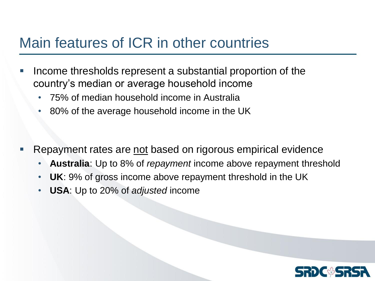### Main features of ICR in other countries

- Income thresholds represent a substantial proportion of the country's median or average household income
	- 75% of median household income in Australia
	- 80% of the average household income in the UK
- Repayment rates are not based on rigorous empirical evidence
	- **Australia**: Up to 8% of *repayment* income above repayment threshold
	- **UK**: 9% of gross income above repayment threshold in the UK
	- **USA**: Up to 20% of *adjusted* income

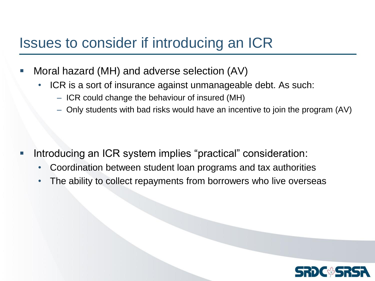## Issues to consider if introducing an ICR

- Moral hazard (MH) and adverse selection (AV)
	- ICR is a sort of insurance against unmanageable debt. As such:
		- ICR could change the behaviour of insured (MH)
		- Only students with bad risks would have an incentive to join the program (AV)

- Introducing an ICR system implies "practical" consideration:
	- Coordination between student loan programs and tax authorities
	- The ability to collect repayments from borrowers who live overseas

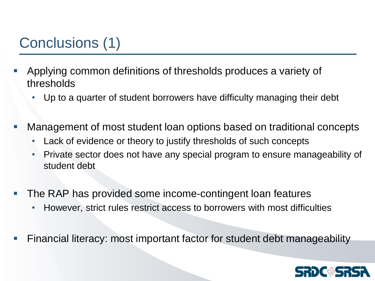# Conclusions (1)

- Applying common definitions of thresholds produces a variety of thresholds
	- Up to a quarter of student borrowers have difficulty managing their debt
- Management of most student loan options based on traditional concepts
	- Lack of evidence or theory to justify thresholds of such concepts
	- Private sector does not have any special program to ensure manageability of student debt
- The RAP has provided some income-contingent loan features
	- However, strict rules restrict access to borrowers with most difficulties
- Financial literacy: most important factor for student debt manageability

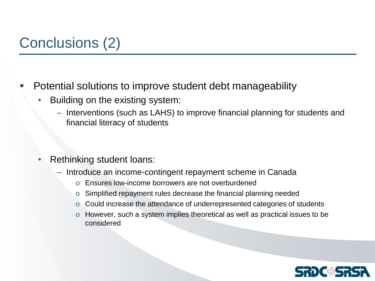# Conclusions (2)

#### Potential solutions to improve student debt manageability

- Building on the existing system:
	- Interventions (such as LAHS) to improve financial planning for students and financial literacy of students
- Rethinking student loans:
	- Introduce an income-contingent repayment scheme in Canada
		- o Ensures low-income borrowers are not overburdened
		- o Simplified repayment rules decrease the financial planning needed
		- o Could increase the attendance of underrepresented categories of students
		- o However, such a system implies theoretical as well as practical issues to be considered

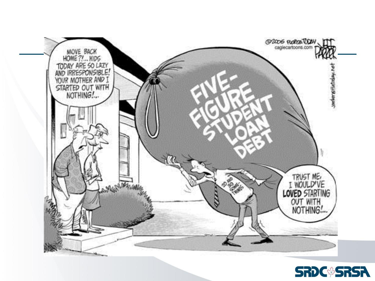

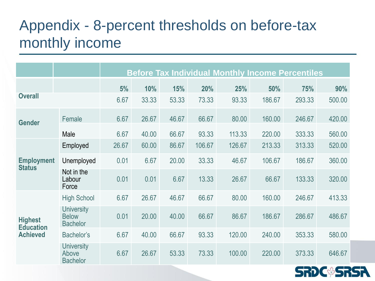# Appendix - 8-percent thresholds on before-tax monthly income

|                                                       |                                                      |       |       |       |        |        | <b>Before Tax Individual Monthly Income Percentiles</b> |        |        |
|-------------------------------------------------------|------------------------------------------------------|-------|-------|-------|--------|--------|---------------------------------------------------------|--------|--------|
|                                                       |                                                      | 5%    | 10%   | 15%   | 20%    | 25%    | 50%                                                     | 75%    | 90%    |
| <b>Overall</b>                                        |                                                      | 6.67  | 33.33 | 53.33 | 73.33  | 93.33  | 186.67                                                  | 293.33 | 500.00 |
| <b>Gender</b>                                         | Female                                               | 6.67  | 26.67 | 46.67 | 66.67  | 80.00  | 160.00                                                  | 246.67 | 420.00 |
|                                                       | Male                                                 | 6.67  | 40.00 | 66.67 | 93.33  | 113.33 | 220.00                                                  | 333.33 | 560.00 |
| <b>Employment</b><br><b>Status</b>                    | Employed                                             | 26.67 | 60.00 | 86.67 | 106.67 | 126.67 | 213.33                                                  | 313.33 | 520.00 |
|                                                       | Unemployed                                           | 0.01  | 6.67  | 20.00 | 33.33  | 46.67  | 106.67                                                  | 186.67 | 360.00 |
|                                                       | Not in the<br>Labour<br>Force                        | 0.01  | 0.01  | 6.67  | 13.33  | 26.67  | 66.67                                                   | 133.33 | 320.00 |
| <b>Highest</b><br><b>Education</b><br><b>Achieved</b> | <b>High School</b>                                   | 6.67  | 26.67 | 46.67 | 66.67  | 80.00  | 160.00                                                  | 246.67 | 413.33 |
|                                                       | <b>University</b><br><b>Below</b><br><b>Bachelor</b> | 0.01  | 20.00 | 40.00 | 66.67  | 86.67  | 186.67                                                  | 286.67 | 486.67 |
|                                                       | Bachelor's                                           | 6.67  | 40.00 | 66.67 | 93.33  | 120.00 | 240.00                                                  | 353.33 | 580.00 |
|                                                       | <b>University</b><br>Above<br><b>Bachelor</b>        | 6.67  | 26.67 | 53.33 | 73.33  | 100.00 | 220.00                                                  | 373.33 | 646.67 |

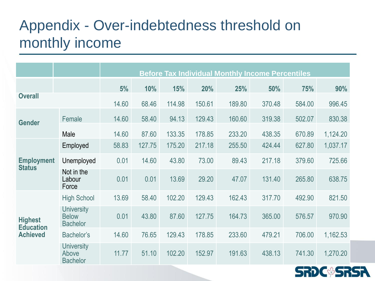# Appendix - Over-indebtedness threshold on monthly income

|                                                       |                                                      | <b>Before Tax Individual Monthly Income Percentiles</b> |        |        |        |        |        |        |          |
|-------------------------------------------------------|------------------------------------------------------|---------------------------------------------------------|--------|--------|--------|--------|--------|--------|----------|
|                                                       |                                                      | 5%                                                      | 10%    | 15%    | 20%    | 25%    | 50%    | 75%    | 90%      |
| <b>Overall</b>                                        |                                                      | 14.60                                                   | 68.46  | 114.98 | 150.61 | 189.80 | 370.48 | 584.00 | 996.45   |
| <b>Gender</b>                                         | Female                                               | 14.60                                                   | 58.40  | 94.13  | 129.43 | 160.60 | 319.38 | 502.07 | 830.38   |
|                                                       | Male                                                 | 14.60                                                   | 87.60  | 133.35 | 178.85 | 233.20 | 438.35 | 670.89 | 1,124.20 |
| <b>Employment</b><br><b>Status</b>                    | Employed                                             | 58.83                                                   | 127.75 | 175.20 | 217.18 | 255.50 | 424.44 | 627.80 | 1,037.17 |
|                                                       | Unemployed                                           | 0.01                                                    | 14.60  | 43.80  | 73.00  | 89.43  | 217.18 | 379.60 | 725.66   |
|                                                       | Not in the<br>Labour<br>Force                        | 0.01                                                    | 0.01   | 13.69  | 29.20  | 47.07  | 131.40 | 265.80 | 638.75   |
|                                                       | <b>High School</b>                                   | 13.69                                                   | 58.40  | 102.20 | 129.43 | 162.43 | 317.70 | 492.90 | 821.50   |
| <b>Highest</b><br><b>Education</b><br><b>Achieved</b> | <b>University</b><br><b>Below</b><br><b>Bachelor</b> | 0.01                                                    | 43.80  | 87.60  | 127.75 | 164.73 | 365.00 | 576.57 | 970.90   |
|                                                       | Bachelor's                                           | 14.60                                                   | 76.65  | 129.43 | 178.85 | 233.60 | 479.21 | 706.00 | 1,162.53 |
|                                                       | <b>University</b><br>Above<br><b>Bachelor</b>        | 11.77                                                   | 51.10  | 102.20 | 152.97 | 191.63 | 438.13 | 741.30 | 1,270.20 |

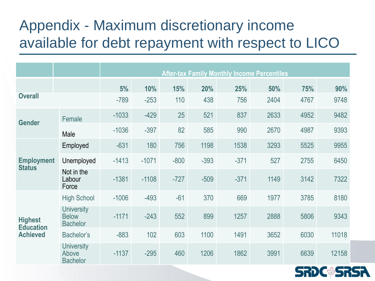# Appendix - Maximum discretionary income available for debt repayment with respect to LICO

|                                                       |                                                      | <b>After-tax Family Monthly Income Percentiles</b> |         |        |        |        |      |      |       |
|-------------------------------------------------------|------------------------------------------------------|----------------------------------------------------|---------|--------|--------|--------|------|------|-------|
|                                                       |                                                      | 5%                                                 | 10%     | 15%    | 20%    | 25%    | 50%  | 75%  | 90%   |
| <b>Overall</b>                                        |                                                      | $-789$                                             | $-253$  | 110    | 438    | 756    | 2404 | 4767 | 9748  |
| <b>Gender</b>                                         | Female                                               | $-1033$                                            | $-429$  | 25     | 521    | 837    | 2633 | 4952 | 9482  |
|                                                       | Male                                                 | $-1036$                                            | $-397$  | 82     | 585    | 990    | 2670 | 4987 | 9393  |
| <b>Employment</b><br><b>Status</b>                    | Employed                                             | $-631$                                             | 180     | 756    | 1198   | 1538   | 3293 | 5525 | 9955  |
|                                                       | Unemployed                                           | $-1413$                                            | $-1071$ | $-800$ | $-393$ | $-371$ | 527  | 2755 | 6450  |
|                                                       | Not in the<br>Labour<br>Force                        | $-1381$                                            | $-1108$ | $-727$ | $-509$ | $-371$ | 1149 | 3142 | 7322  |
| <b>Highest</b><br><b>Education</b><br><b>Achieved</b> | <b>High School</b>                                   | $-1006$                                            | $-493$  | $-61$  | 370    | 669    | 1977 | 3785 | 8180  |
|                                                       | <b>University</b><br><b>Below</b><br><b>Bachelor</b> | $-1171$                                            | $-243$  | 552    | 899    | 1257   | 2888 | 5806 | 9343  |
|                                                       | Bachelor's                                           | $-883$                                             | 102     | 603    | 1100   | 1491   | 3652 | 6030 | 11018 |
|                                                       | <b>University</b><br>Above<br><b>Bachelor</b>        | $-1137$                                            | $-295$  | 460    | 1206   | 1862   | 3991 | 6639 | 12158 |

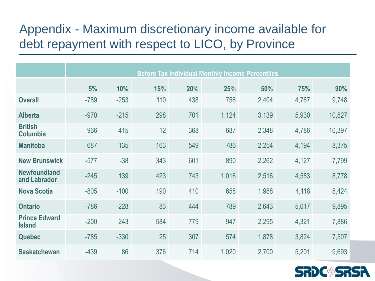#### Appendix - Maximum discretionary income available for debt repayment with respect to LICO, by Province

|                                       | <b>Before Tax Individual Monthly Income Percentiles</b> |        |     |     |       |       |       |        |
|---------------------------------------|---------------------------------------------------------|--------|-----|-----|-------|-------|-------|--------|
|                                       | 5%                                                      | 10%    | 15% | 20% | 25%   | 50%   | 75%   | 90%    |
| <b>Overall</b>                        | $-789$                                                  | $-253$ | 110 | 438 | 756   | 2,404 | 4,767 | 9,748  |
| <b>Alberta</b>                        | $-970$                                                  | $-215$ | 298 | 701 | 1,124 | 3,139 | 5,930 | 10,827 |
| <b>British</b><br><b>Columbia</b>     | $-966$                                                  | $-415$ | 12  | 368 | 687   | 2,348 | 4,786 | 10,397 |
| <b>Manitoba</b>                       | $-687$                                                  | $-135$ | 163 | 549 | 786   | 2,254 | 4,194 | 8,375  |
| <b>New Brunswick</b>                  | $-577$                                                  | $-38$  | 343 | 601 | 890   | 2,262 | 4,127 | 7,799  |
| <b>Newfoundland</b><br>and Labrador   | $-245$                                                  | 139    | 423 | 743 | 1,016 | 2,516 | 4,583 | 8,778  |
| <b>Nova Scotia</b>                    | $-805$                                                  | $-100$ | 190 | 410 | 658   | 1,988 | 4,118 | 8,424  |
| <b>Ontario</b>                        | $-786$                                                  | $-228$ | 83  | 444 | 789   | 2,643 | 5,017 | 9,895  |
| <b>Prince Edward</b><br><b>Island</b> | $-200$                                                  | 243    | 584 | 779 | 947   | 2,295 | 4,321 | 7,886  |
| <b>Quebec</b>                         | $-785$                                                  | $-330$ | 25  | 307 | 574   | 1,878 | 3,824 | 7,507  |
| <b>Saskatchewan</b>                   | $-439$                                                  | 86     | 376 | 714 | 1,020 | 2,700 | 5,201 | 9,693  |